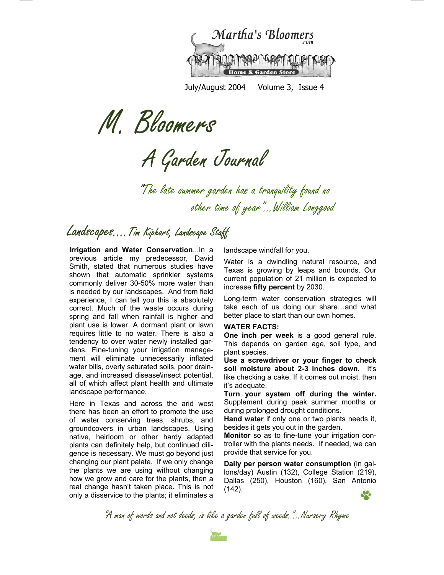

July/August 2004 Volume 3, Issue 4

M. Bloomers

A Garden Journal

"The late summer garden has a tranquility found no other time of year"...William Longgood

## Landscapes….Tim Kiphart, Landscape Staff

**Irrigation and Water Conservation**...In a previous article my predecessor, David Smith, stated that numerous studies have shown that automatic sprinkler systems commonly deliver 30-50% more water than is needed by our landscapes. And from field experience, I can tell you this is absolutely correct. Much of the waste occurs during spring and fall when rainfall is higher and plant use is lower. A dormant plant or lawn requires little to no water. There is also a tendency to over water newly installed gardens. Fine-tuning your irrigation management will eliminate unnecessarily inflated water bills, overly saturated soils, poor drainage, and increased disease\insect potential, all of which affect plant health and ultimate landscape performance.

Here in Texas and across the arid west there has been an effort to promote the use of water conserving trees, shrubs, and groundcovers in urban landscapes. Using native, heirloom or other hardy adapted plants can definitely help, but continued diligence is necessary. We must go beyond just changing our plant palate. If we only change the plants we are using without changing how we grow and care for the plants, then a real change hasn't taken place. This is not only a disservice to the plants; it eliminates a

landscape windfall for you.

Water is a dwindling natural resource, and Texas is growing by leaps and bounds. Our current population of 21 million is expected to increase **fifty percent** by 2030.

Long-term water conservation strategies will take each of us doing our share…and what better place to start than our own homes.

### **WATER FACTS:**

**One inch per week** is a good general rule. This depends on garden age, soil type, and plant species.

**Use a screwdriver or your finger to check soil moisture about 2-3 inches down.** It's like checking a cake. If it comes out moist, then it's adequate.

**Turn your system off during the winter.**  Supplement during peak summer months or during prolonged drought conditions.

**Hand water** if only one or two plants needs it, besides it gets you out in the garden.

**Monitor** so as to fine-tune your irrigation controller with the plants needs. If needed, we can provide that service for you.

**Daily per person water consumption** (in gallons/day) Austin (132), College Station (219), Dallas (250), Houston (160), San Antonio (142). J.

"A man of words and not deeds, is like a garden full of weeds."...Nursery Rhyme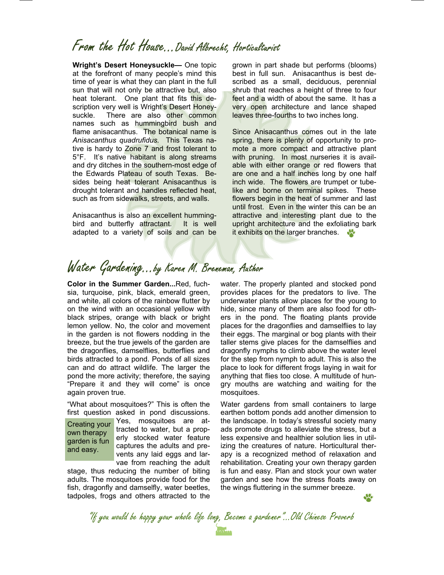# From the Hot House...David Albrecht, Horticulturist

**Wright's Desert Honeysuckle—** One topic at the forefront of many people's mind this time of year is what they can plant in the full sun that will not only be attractive but, also heat tolerant. One plant that fits this description very well is Wright's Desert Honeysuckle. There are also other common names such as hummingbird bush and flame anisacanthus. The botanical name is *Anisacanthus quadrufidus.* This Texas native is hardy to Zone 7 and frost tolerant to 5°F. It's native habitant is along streams and dry ditches in the southern-most edge of the Edwards Plateau of south Texas. Besides being heat tolerant Anisacanthus is drought tolerant and handles reflected heat, such as from sidewalks, streets, and walls.

Anisacanthus is also an excellent hummingbird and butterfly attractant. It is well adapted to a variety of soils and can be grown in part shade but performs (blooms) best in full sun. Anisacanthus is best described as a small, deciduous, perennial shrub that reaches a height of three to four feet and a width of about the same. It has a very open architecture and lance shaped leaves three-fourths to two inches long.

Since Anisacanthus comes out in the late spring, there is plenty of opportunity to promote a more compact and attractive plant with pruning. In most nurseries it is available with either orange or red flowers that are one and a half inches long by one half inch wide. The flowers are trumpet or tubelike and borne on terminal spikes. These flowers begin in the heat of summer and last until frost. Even in the winter this can be an attractive and interesting plant due to the upright architecture and the exfoliating bark it exhibits on the larger branches.

## Water Gardening...by Karen M. Breneman, Author

**Color in the Summer Garden...**Red, fuchsia, turquoise, pink, black, emerald green, and white, all colors of the rainbow flutter by on the wind with an occasional yellow with black stripes, orange with black or bright lemon yellow. No, the color and movement in the garden is not flowers nodding in the breeze, but the true jewels of the garden are the dragonflies, damselflies, butterflies and birds attracted to a pond. Ponds of all sizes can and do attract wildlife. The larger the pond the more activity; therefore, the saying "Prepare it and they will come" is once again proven true.

"What about mosquitoes?" This is often the first question asked in pond discussions.

Creating your own therapy garden is fun and easy.

Yes, mosquitoes are attracted to water, but a properly stocked water feature captures the adults and prevents any laid eggs and larvae from reaching the adult

stage, thus reducing the number of biting adults. The mosquitoes provide food for the fish, dragonfly and damselfly, water beetles, tadpoles, frogs and others attracted to the water. The properly planted and stocked pond provides places for the predators to live. The underwater plants allow places for the young to hide, since many of them are also food for others in the pond. The floating plants provide places for the dragonflies and damselflies to lay their eggs. The marginal or bog plants with their taller stems give places for the damselflies and dragonfly nymphs to climb above the water level for the step from nymph to adult. This is also the place to look for different frogs laying in wait for anything that flies too close. A multitude of hungry mouths are watching and waiting for the mosquitoes.

Water gardens from small containers to large earthen bottom ponds add another dimension to the landscape. In today's stressful society many ads promote drugs to alleviate the stress, but a less expensive and healthier solution lies in utilizing the creatures of nature. Horticultural therapy is a recognized method of relaxation and rehabilitation. Creating your own therapy garden is fun and easy. Plan and stock your own water garden and see how the stress floats away on the wings fluttering in the summer breeze.

**SP** 

"If you would be happy your whole life long, Become a gardener"...Old Chinese Proverb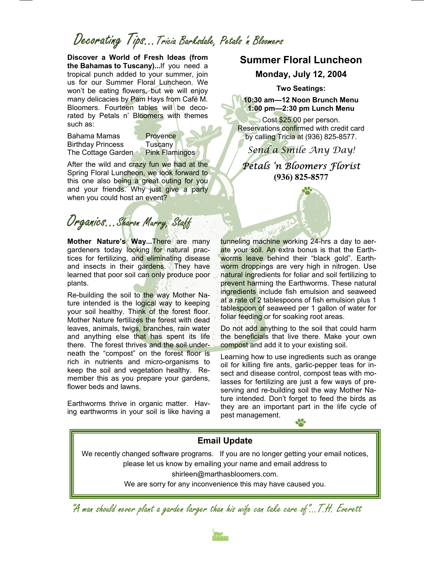# Decorating Tips…Tricia Barksdale, Petals 'n Bloomers

**Discover a World of Fresh Ideas (from the Bahamas to Tuscany)...**If you need a tropical punch added to your summer, join us for our Summer Floral Luncheon. We won't be eating flowers, but we will enjoy many delicacies by Pam Hays from Café M. Bloomers. Fourteen tables will be decorated by Petals n' Bloomers with themes such as:

Bahama Mamas **Provence** Birthday Princess Tuscany

The Cottage Garden Pink Flamingos

After the wild and crazy fun we had at the Spring Floral Luncheon, we look forward to this one also being a great outing for you and your friends. Why just give a party when you could host an event?

Organics…Sharon Murry, Staff

**Mother Nature's Way...**There are many gardeners today looking for natural practices for fertilizing, and eliminating disease and insects in their gardens. They have learned that poor soil can only produce poor plants.

Re-building the soil to the way Mother Nature intended is the logical way to keeping your soil healthy. Think of the forest floor. Mother Nature fertilizes the forest with dead leaves, animals, twigs, branches, rain water and anything else that has spent its life there. The forest thrives and the soil underneath the "compost" on the forest floor is rich in nutrients and micro-organisms to keep the soil and vegetation healthy. Remember this as you prepare your gardens, flower beds and lawns.

Earthworms thrive in organic matter. Having earthworms in your soil is like having a

### **Summer Floral Luncheon**

**Monday, July 12, 2004** 

**Two Seatings:** 

**10:30 am—12 Noon Brunch Menu 1:00 pm—2:30 pm Lunch Menu** 

Cost \$25.00 per person. Reservations confirmed with credit card by calling Tricia at (936) 825-8577.

*Send a Smile Any Day!* 

### *Petals 'n Bloomers Florist*  **(936) 825-8577**

tunneling machine working 24-hrs a day to aer ate your soil. An extra bonus is that the Earthworms leave behind their "black gold". Earthworm droppings are very high in nitrogen. Use natural ingredients for foliar and soil fertilizing to prevent harming the Earthworms. These natural ingredients include fish emulsion and seaweed at a rate of 2 tablespoons of fish emulsion plus 1 tablespoon of seaweed per 1 gallon of water for foliar feeding or for soaking root areas.

Do not add anything to the soil that could harm the beneficials that live there. Make your own compost and add it to your existing soil.

Learning how to use ingredients such as orange oil for killing fire ants, garlic-pepper teas for insect and disease control, compost teas with molasses for fertilizing are just a few ways of preserving and re-building soil the way Mother Nature intended. Don't forget to feed the birds as they are an important part in the life cycle of pest management.



"A man should never plant a garden larger than his wife can take care of"...T.H. Everett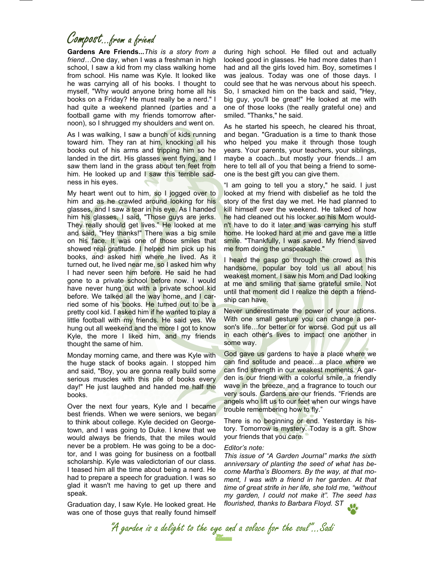## Compost…from a friend

**Gardens Are Friends...***This is a story from a friend…*One day, when I was a freshman in high school, I saw a kid from my class walking home from school. His name was Kyle. It looked like he was carrying all of his books. I thought to myself, "Why would anyone bring home all his books on a Friday? He must really be a nerd." I had quite a weekend planned (parties and a football game with my friends tomorrow afternoon), so I shrugged my shoulders and went on.

As I was walking, I saw a bunch of kids running toward him. They ran at him, knocking all his books out of his arms and tripping him so he landed in the dirt. His glasses went flying, and I saw them land in the grass about ten feet from him. He looked up and I saw this terrible sadness in his eyes.

My heart went out to him, so I jogged over to him and as he crawled around looking for his glasses, and I saw a tear in his eye. As I handed him his glasses, I said, "Those guys are jerks. They really should get lives." He looked at me and said, "Hey thanks!" There was a big smile on his face. It was one of those smiles that showed real gratitude. I helped him pick up his books, and asked him where he lived. As it turned out, he lived near me, so I asked him why I had never seen him before. He said he had gone to a private school before now. I would have never hung out with a private school kid before. We talked all the way home, and I carried some of his books. He turned out to be a pretty cool kid. I asked him if he wanted to play a little football with my friends. He said yes. We hung out all weekend and the more I got to know Kyle, the more I liked him, and my friends thought the same of him.

Monday morning came, and there was Kyle with the huge stack of books again. I stopped him and said, "Boy, you are gonna really build some serious muscles with this pile of books every day!" He just laughed and handed me half the books.

Over the next four years, Kyle and I became best friends. When we were seniors, we began to think about college. Kyle decided on Georgetown, and I was going to Duke. I knew that we would always be friends, that the miles would never be a problem. He was going to be a doctor, and I was going for business on a football scholarship. Kyle was valedictorian of our class. I teased him all the time about being a nerd. He had to prepare a speech for graduation. I was so glad it wasn't me having to get up there and speak.

Graduation day, I saw Kyle. He looked great. He was one of those guys that really found himself during high school. He filled out and actually looked good in glasses. He had more dates than I had and all the girls loved him. Boy, sometimes I was jealous. Today was one of those days. I could see that he was nervous about his speech. So, I smacked him on the back and said, "Hey, big guy, you'll be great!" He looked at me with one of those looks (the really grateful one) and smiled. "Thanks," he said.

As he started his speech, he cleared his throat, and began. "Graduation is a time to thank those who helped you make it through those tough years. Your parents, your teachers, your siblings, maybe a coach...but mostly your friends...I am here to tell all of you that being a friend to someone is the best gift you can give them.

"I am going to tell you a story," he said. I just looked at my friend with disbelief as he told the story of the first day we met. He had planned to kill himself over the weekend. He talked of how he had cleaned out his locker so his Mom wouldn't have to do it later and was carrying his stuff home. He looked hard at me and gave me a little smile. "Thankfully, I was saved. My friend saved me from doing the unspeakable."

I heard the gasp go through the crowd as this handsome, popular boy told us all about his weakest moment. I saw his Mom and Dad looking at me and smiling that same grateful smile. Not until that moment did I realize the depth a friendship can have.

Never underestimate the power of your actions. With one small gesture you can change a person's life...for better or for worse. God put us all in each other's lives to impact one another in some way.

God gave us gardens to have a place where we can find solitude and peace…a place where we can find strength in our weakest moments. A garden is our friend with a colorful smile, a friendly wave in the breeze, and a fragrance to touch our very souls. Gardens are our friends. "Friends are angels who lift us to our feet when our wings have trouble remembering how to fly."

There is no beginning or end. Yesterday is history. Tomorrow is mystery. Today is a gift. Show your friends that you care.

#### *Editor's note:*

*This issue of "A Garden Journal" marks the sixth anniversary of planting the seed of what has become Martha's Bloomers. By the way, at that moment, I was with a friend in her garden. At that time of great strife in her life, she told me, "without my garden, I could not make it". The seed has flourished, thanks to Barbara Floyd. ST* 



"A garden is a delight to the eye and a solace for the soul"...Sadi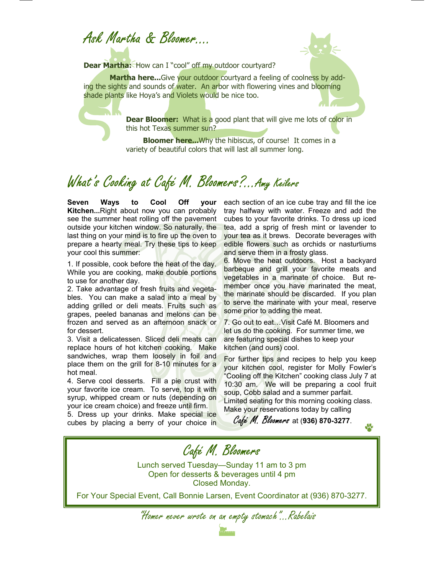Ask Martha & Bloomer….



**Dear Martha:** How can I "cool" off my outdoor courtyard?

**Martha here...**Give your outdoor courtyard a feeling of coolness by adding the sights and sounds of water. An arbor with flowering vines and blooming shade plants like Hoya's and Violets would be nice too.

> **Dear Bloomer:** What is a good plant that will give me lots of color in this hot Texas summer sun?

**Bloomer here...**Why the hibiscus, of course! It comes in a variety of beautiful colors that will last all summer long.

# What's Cooking at Café M. Bloomers?...Amy Keilers

**Seven Ways to Cool Off your Kitchen...**Right about now you can probably see the summer heat rolling off the pavement outside your kitchen window. So naturally, the last thing on your mind is to fire up the oven to prepare a hearty meal. Try these tips to keep your cool this summer:

1. If possible, cook before the heat of the day. While you are cooking, make double portions to use for another day.

2. Take advantage of fresh fruits and vegetables. You can make a salad into a meal by adding grilled or deli meats. Fruits such as grapes, peeled bananas and melons can be frozen and served as an afternoon snack or for dessert.

3. Visit a delicatessen. Sliced deli meats can replace hours of hot kitchen cooking. Make sandwiches, wrap them loosely in foil and place them on the grill for 8-10 minutes for a hot meal.

4. Serve cool desserts. Fill a pie crust with your favorite ice cream. To serve, top it with syrup, whipped cream or nuts (depending on your ice cream choice) and freeze until firm.

5. Dress up your drinks. Make special ice cubes by placing a berry of your choice in each section of an ice cube tray and fill the ice tray halfway with water. Freeze and add the cubes to your favorite drinks. To dress up iced tea, add a sprig of fresh mint or lavender to your tea as it brews. Decorate beverages with edible flowers such as orchids or nasturtiums and serve them in a frosty glass.

6. Move the heat outdoors. Host a backyard barbeque and grill your favorite meats and vegetables in a marinate of choice. But remember once you have marinated the meat, the marinate should be discarded. If you plan to serve the marinate with your meal, reserve some prior to adding the meat.

7. Go out to eat…Visit Café M. Bloomers and let us do the cooking. For summer time, we are featuring special dishes to keep your kitchen (and ours) cool.

For further tips and recipes to help you keep your kitchen cool, register for Molly Fowler's "Cooling off the Kitchen" cooking class July 7 at 10:30 am. We will be preparing a cool fruit soup, Cobb salad and a summer parfait. Limited seating for this morning cooking class. Make your reservations today by calling

R

Café M. Bloomers at (**936) 870-3277**.